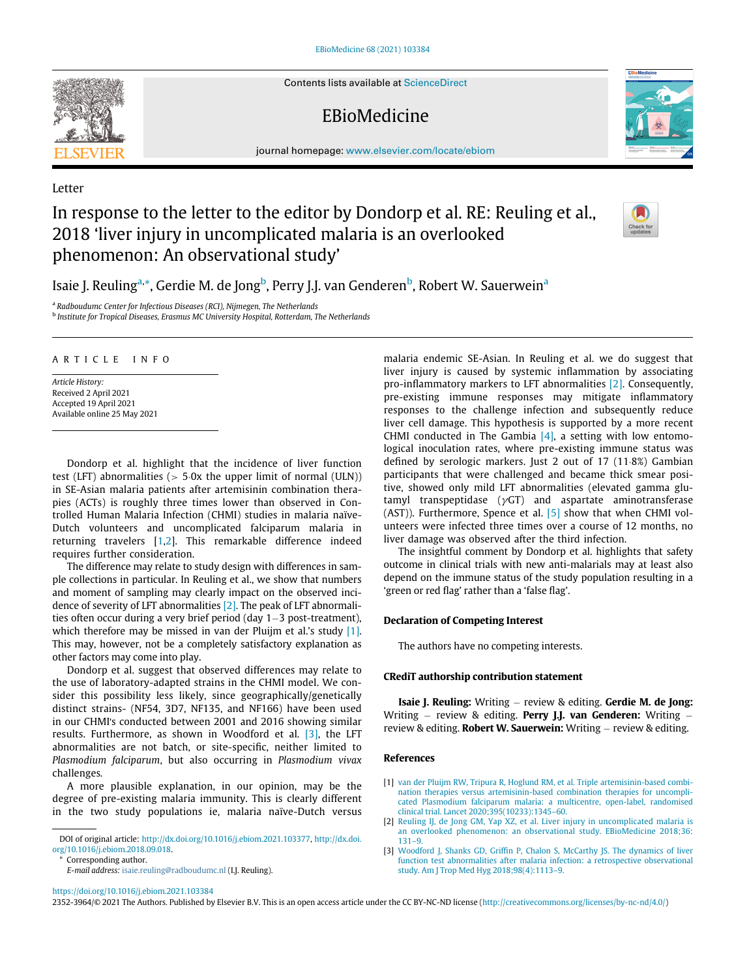Contents lists available at ScienceDirect

## EBioMedicine

journal homepage: [www.elsevier.com/locate/ebiom](http://www.elsevier.com/locate/ebiom)

# In response to the letter to the editor by Dondorp et al. RE: Reuling et al., 2018 'liver injury in uncomplicated malaria is an overlooked phenomenon: An observational study'

Isaie J. Reuling<sup>[a,](#page-0-0)</sup>[\\*,](#page-0-1) Gerdie M. de Jong<sup>[b](#page-0-2)</sup>, Perry J.J. v[a](#page-0-0)n Genderen<sup>b</sup>, Robert W. Sauerwein<sup>a</sup>

<span id="page-0-0"></span><sup>a</sup> Radboudumc Center for Infectious Diseases (RCI), Nijmegen, The Netherlands

<span id="page-0-2"></span>**b** Institute for Tropical Diseases, Erasmus MC University Hospital, Rotterdam, The Netherlands

### ARTICLE INFO

Article History: Received 2 April 2021 Accepted 19 April 2021 Available online 25 May 2021

Dondorp et al. highlight that the incidence of liver function test (LFT) abnormalities ( $> 5.0x$  the upper limit of normal (ULN)) in SE-Asian malaria patients after artemisinin combination therapies (ACTs) is roughly three times lower than observed in Controlled Human Malaria Infection (CHMI) studies in malaria naïve-Dutch volunteers and uncomplicated falciparum malaria in returning travelers [[1,](#page-0-3)[2](#page-0-4)]. This remarkable difference indeed requires further consideration.

The difference may relate to study design with differences in sample collections in particular. In Reuling et al., we show that numbers and moment of sampling may clearly impact on the observed incidence of severity of LFT abnormalities [\[2\]](#page-0-4). The peak of LFT abnormalities often occur during a very brief period (day  $1-3$  post-treatment), which therefore may be missed in van der Pluijm et al.'s study [\[1\].](#page-0-3) This may, however, not be a completely satisfactory explanation as other factors may come into play.

Dondorp et al. suggest that observed differences may relate to the use of laboratory-adapted strains in the CHMI model. We consider this possibility less likely, since geographically/genetically distinct strains- (NF54, 3D7, NF135, and NF166) have been used in our CHMI's conducted between 2001 and 2016 showing similar results. Furthermore, as shown in Woodford et al. [\[3\]](#page-0-5), the LFT abnormalities are not batch, or site-specific, neither limited to Plasmodium falciparum, but also occurring in Plasmodium vivax challenges.

<span id="page-0-3"></span>A more plausible explanation, in our opinion, may be the degree of pre-existing malaria immunity. This is clearly different in the two study populations ie, malaria naïve-Dutch versus

<https://doi.org/10.1016/j.ebiom.2021.103384>

malaria endemic SE-Asian. In Reuling et al. we do suggest that liver injury is caused by systemic inflammation by associating pro-inflammatory markers to LFT abnormalities [\[2\]](#page-0-4). Consequently, pre-existing immune responses may mitigate inflammatory responses to the challenge infection and subsequently reduce liver cell damage. This hypothesis is supported by a more recent CHMI conducted in The Gambia  $[4]$ , a setting with low entomological inoculation rates, where pre-existing immune status was defined by serologic markers. Just 2 out of 17 (11.8%) Gambian participants that were challenged and became thick smear positive, showed only mild LFT abnormalities (elevated gamma glutamyl transpeptidase  $(\gamma GT)$  and aspartate aminotransferase (AST)). Furthermore, Spence et al. [\[5\]](#page-1-1) show that when CHMI volunteers were infected three times over a course of 12 months, no liver damage was observed after the third infection.

The insightful comment by Dondorp et al. highlights that safety outcome in clinical trials with new anti-malarials may at least also depend on the immune status of the study population resulting in a 'green or red flag' rather than a 'false flag'.

#### Declaration of Competing Interest

The authors have no competing interests.

#### CRediT authorship contribution statement

Isaie J. Reuling: Writing - review & editing. Gerdie M. de Jong: Writing - review & editing. Perry J.J. van Genderen: Writing review & editing. Robert W. Sauerwein: Writing  $-$  review & editing.

#### References

- [1] [van der Pluijm RW, Tripura R, Hoglund RM, et al. Triple artemisinin-based combi](http://refhub.elsevier.com/S2352-3964(21)00177-8/sbref0001)[nation therapies versus artemisinin-based combination therapies for uncompli](http://refhub.elsevier.com/S2352-3964(21)00177-8/sbref0001)[cated Plasmodium falciparum malaria: a multicentre, open-label, randomised](http://refhub.elsevier.com/S2352-3964(21)00177-8/sbref0001) [clinical trial. Lancet 2020;395\(10233\):1345](http://refhub.elsevier.com/S2352-3964(21)00177-8/sbref0001)–60.
- [2] [Reuling IJ, de Jong GM, Yap XZ, et al. Liver injury in uncomplicated malaria is](http://refhub.elsevier.com/S2352-3964(21)00177-8/sbref0002) [an overlooked phenomenon: an observational study. EBioMedicine 2018;36:](http://refhub.elsevier.com/S2352-3964(21)00177-8/sbref0002) [131](http://refhub.elsevier.com/S2352-3964(21)00177-8/sbref0002)–9.
- [3] Woodford J, Shanks GD, Griffi[n P, Chalon S, McCarthy JS. The dynamics of liver](http://refhub.elsevier.com/S2352-3964(21)00177-8/sbref0003) [function test abnormalities after malaria infection: a retrospective observational](http://refhub.elsevier.com/S2352-3964(21)00177-8/sbref0003) [study. Am J Trop Med Hyg 2018;98\(4\):1113](http://refhub.elsevier.com/S2352-3964(21)00177-8/sbref0003)–9.

2352-3964/© 2021 The Authors. Published by Elsevier B.V. This is an open access article under the CC BY-NC-ND license (<http://creativecommons.org/licenses/by-nc-nd/4.0/>)



Letter





<span id="page-0-5"></span><span id="page-0-4"></span><span id="page-0-1"></span>DOI of original article: [http://dx.doi.org/10.1016/j.ebiom.2021.103377,](http://dx.doi.org/10.1016/j.ebiom.2021.103377) [http://dx.doi.](http://dx.doi.org/10.1016/j.ebiom.2018.09.018) [org/10.1016/j.ebiom.2018.09.018.](http://dx.doi.org/10.1016/j.ebiom.2018.09.018)

Corresponding author.

E-mail address: [isaie.reuling@radboudumc.nl](mailto:isaie.reuling@radboudumc.nl) (I.J. Reuling).